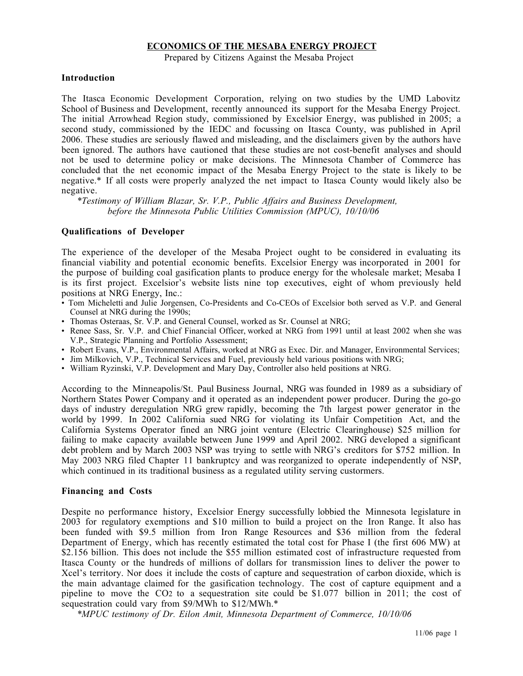### **ECONOMICS OF THE MESABA ENERGY PROJECT**

Prepared by Citizens Against the Mesaba Project

#### **Introduction**

The Itasca Economic Development Corporation, relying on two studies by the UMD Labovitz School of Business and Development, recently announced its support for the Mesaba Energy Project. The initial Arrowhead Region study, commissioned by Excelsior Energy, was published in 2005; a second study, commissioned by the IEDC and focussing on Itasca County, was published in April 2006. These studies are seriously flawed and misleading, and the disclaimers given by the authors have been ignored. The authors have cautioned that these studies are not cost-benefit analyses and should not be used to determine policy or make decisions. The Minnesota Chamber of Commerce has concluded that the net economic impact of the Mesaba Energy Project to the state is likely to be negative.\* If all costs were properly analyzed the net impact to Itasca County would likely also be negative.

*\*Testimony of William Blazar, Sr. V.P., Public Affairs and Business Development, before the Minnesota Public Utilities Commission (MPUC), 10/10/06*

#### **Qualifications of Developer**

The experience of the developer of the Mesaba Project ought to be considered in evaluating its financial viability and potential economic benefits. Excelsior Energy was incorporated in 2001 for the purpose of building coal gasification plants to produce energy for the wholesale market; Mesaba I is its first project. Excelsior's website lists nine top executives, eight of whom previously held positions at NRG Energy, Inc.:

- Tom Micheletti and Julie Jorgensen, Co-Presidents and Co-CEOs of Excelsior both served as V.P. and General Counsel at NRG during the 1990s;
- Thomas Osteraas, Sr. V.P. and General Counsel, worked as Sr. Counsel at NRG;
- Renee Sass, Sr. V.P. and Chief Financial Officer, worked at NRG from 1991 until at least 2002 when she was V.P., Strategic Planning and Portfolio Assessment;
- Robert Evans, V.P., Environmental Affairs, worked at NRG as Exec. Dir. and Manager, Environmental Services;
- Jim Milkovich, V.P., Technical Services and Fuel, previously held various positions with NRG;
- William Ryzinski, V.P. Development and Mary Day, Controller also held positions at NRG.

According to the Minneapolis/St. Paul Business Journal, NRG was founded in 1989 as a subsidiary of Northern States Power Company and it operated as an independent power producer. During the go-go days of industry deregulation NRG grew rapidly, becoming the 7th largest power generator in the world by 1999. In 2002 California sued NRG for violating its Unfair Competition Act, and the California Systems Operator fined an NRG joint venture (Electric Clearinghouse) \$25 million for failing to make capacity available between June 1999 and April 2002. NRG developed a significant debt problem and by March 2003 NSP was trying to settle with NRG's creditors for \$752 million. In May 2003 NRG filed Chapter 11 bankruptcy and was reorganized to operate independently of NSP, which continued in its traditional business as a regulated utility serving custormers.

#### **Financing and Costs**

Despite no performance history, Excelsior Energy successfully lobbied the Minnesota legislature in 2003 for regulatory exemptions and \$10 million to build a project on the Iron Range. It also has been funded with \$9.5 million from Iron Range Resources and \$36 million from the federal Department of Energy, which has recently estimated the total cost for Phase I (the first 606 MW) at \$2.156 billion. This does not include the \$55 million estimated cost of infrastructure requested from Itasca County or the hundreds of millions of dollars for transmission lines to deliver the power to Xcel's territory. Nor does it include the costs of capture and sequestration of carbon dioxide, which is the main advantage claimed for the gasification technology. The cost of capture equipment and a pipeline to move the CO2 to a sequestration site could be \$1.077 billion in 2011; the cost of sequestration could vary from \$9/MWh to \$12/MWh.\*

*\*MPUC testimony of Dr. Eilon Amit, Minnesota Department of Commerce, 10/10/06*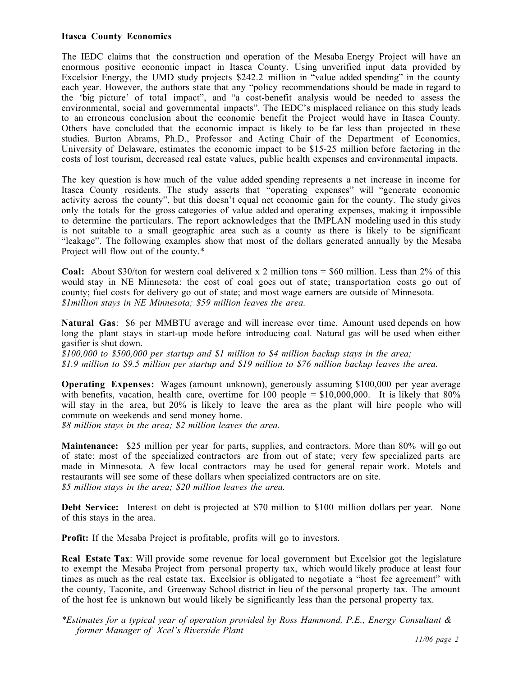### **Itasca County Economics**

The IEDC claims that the construction and operation of the Mesaba Energy Project will have an enormous positive economic impact in Itasca County. Using unverified input data provided by Excelsior Energy, the UMD study projects \$242.2 million in "value added spending" in the county each year. However, the authors state that any "policy recommendations should be made in regard to the 'big picture' of total impact", and "a cost-benefit analysis would be needed to assess the environmental, social and governmental impacts". The IEDC's misplaced reliance on this study leads to an erroneous conclusion about the economic benefit the Project would have in Itasca County. Others have concluded that the economic impact is likely to be far less than projected in these studies. Burton Abrams, Ph.D., Professor and Acting Chair of the Department of Economics, University of Delaware, estimates the economic impact to be \$15-25 million before factoring in the costs of lost tourism, decreased real estate values, public health expenses and environmental impacts.

The key question is how much of the value added spending represents a net increase in income for Itasca County residents. The study asserts that "operating expenses" will "generate economic activity across the county", but this doesn't equal net economic gain for the county. The study gives only the totals for the gross categories of value added and operating expenses, making it impossible to determine the particulars. The report acknowledges that the IMPLAN modeling used in this study is not suitable to a small geographic area such as a county as there is likely to be significant "leakage". The following examples show that most of the dollars generated annually by the Mesaba Project will flow out of the county.\*

**Coal:** About \$30/ton for western coal delivered x 2 million tons = \$60 million. Less than 2% of this would stay in NE Minnesota: the cost of coal goes out of state; transportation costs go out of county; fuel costs for delivery go out of state; and most wage earners are outside of Minnesota. *\$1million stays in NE Minnesota; \$59 million leaves the area.*

**Natural Gas**: \$6 per MMBTU average and will increase over time. Amount used depends on how long the plant stays in start-up mode before introducing coal. Natural gas will be used when either gasifier is shut down.

*\$100,000 to \$500,000 per startup and \$1 million to \$4 million backup stays in the area; \$1.9 million to \$9.5 million per startup and \$19 million to \$76 million backup leaves the area.*

**Operating Expenses:** Wages (amount unknown), generously assuming \$100,000 per year average with benefits, vacation, health care, overtime for 100 people =  $$10,000,000$ . It is likely that  $80\%$ will stay in the area, but 20% is likely to leave the area as the plant will hire people who will commute on weekends and send money home.

*\$8 million stays in the area; \$2 million leaves the area.*

**Maintenance:** \$25 million per year for parts, supplies, and contractors. More than 80% will go out of state: most of the specialized contractors are from out of state; very few specialized parts are made in Minnesota. A few local contractors may be used for general repair work. Motels and restaurants will see some of these dollars when specialized contractors are on site. *\$5 million stays in the area; \$20 million leaves the area.*

**Debt Service:** Interest on debt is projected at \$70 million to \$100 million dollars per year. None of this stays in the area.

**Profit:** If the Mesaba Project is profitable, profits will go to investors.

**Real Estate Tax**: Will provide some revenue for local government but Excelsior got the legislature to exempt the Mesaba Project from personal property tax, which would likely produce at least four times as much as the real estate tax. Excelsior is obligated to negotiate a "host fee agreement" with the county, Taconite, and Greenway School district in lieu of the personal property tax. The amount of the host fee is unknown but would likely be significantly less than the personal property tax.

*\*Estimates for a typical year of operation provided by Ross Hammond, P.E., Energy Consultant & former Manager of Xcel's Riverside Plant*